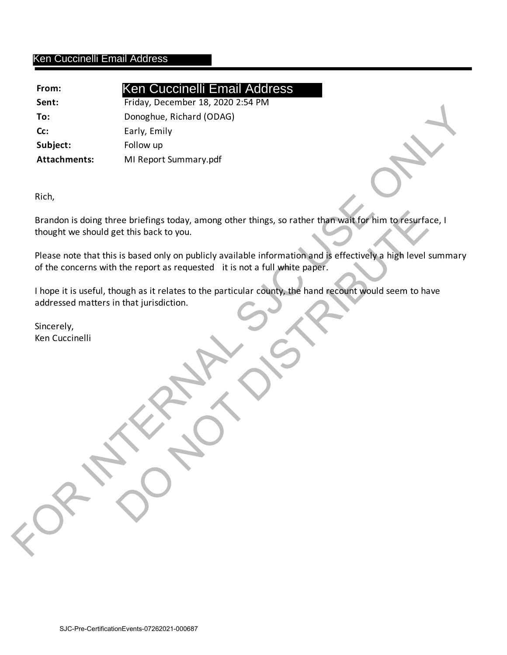## Ken Cuccinelli Email Address

| From:               | <b>Ken Cuccinelli Email Address</b>                                                                                                                                                         |
|---------------------|---------------------------------------------------------------------------------------------------------------------------------------------------------------------------------------------|
| Sent:               | Friday, December 18, 2020 2:54 PM                                                                                                                                                           |
| To:                 | Donoghue, Richard (ODAG)                                                                                                                                                                    |
| Cc:                 | Early, Emily                                                                                                                                                                                |
| Subject:            | Follow up                                                                                                                                                                                   |
| <b>Attachments:</b> | MI Report Summary.pdf                                                                                                                                                                       |
| Rich,               |                                                                                                                                                                                             |
|                     | Brandon is doing three briefings today, among other things, so rather than wait for him to resurface, I<br>thought we should get this back to you.                                          |
|                     | Please note that this is based only on publicly available information and is effectively a high level summary<br>of the concerns with the report as requested it is not a full white paper. |
|                     | I hope it is useful, though as it relates to the particular county, the hand recount would seem to have<br>addressed matters in that jurisdiction.                                          |
| Sincerely,          |                                                                                                                                                                                             |
| Ken Cuccinelli      |                                                                                                                                                                                             |
|                     |                                                                                                                                                                                             |
|                     |                                                                                                                                                                                             |
|                     | CRANT                                                                                                                                                                                       |
|                     | $\blacktriangle$                                                                                                                                                                            |
|                     |                                                                                                                                                                                             |
|                     |                                                                                                                                                                                             |
|                     |                                                                                                                                                                                             |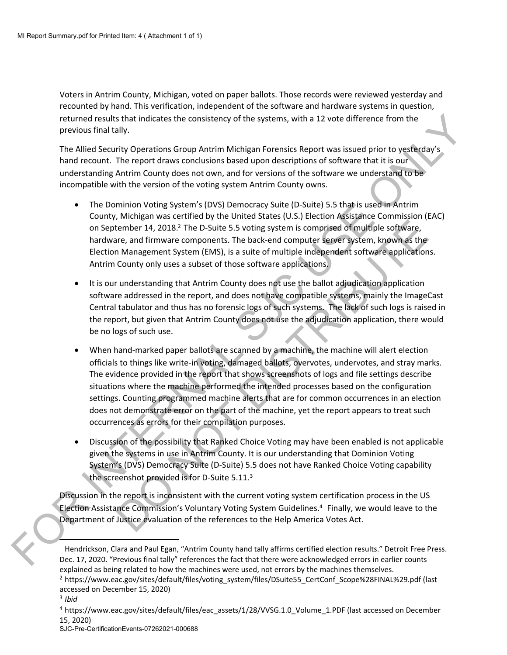Voters in Antrim County, Michigan, voted on paper ballots. Those records were reviewed yesterday and recounted by hand. This verification, independent of the software and hardware systems in question, returned results that indicates the consistency of the systems, with a 12 vote difference from the previous final tally.

The Allied Security Operations Group Antrim Michigan Forensics Report was issued prior to yesterday's hand recount. The report draws conclusions based upon descriptions of software that it is our understanding Antrim County does not own, and for versions of the software we understand to be incompatible with the version of the voting system Antrim County owns.

- The Dominion Voting System's (DVS) Democracy Suite (D-Suite) 5.5 that is used in Antrim County, Michigan was certified by the United States (U.S.) Election Assistance Commission (EAC) on September 14, 2018.<sup>2</sup> The D-Suite 5.5 voting system is comprised of multiple software, hardware, and firmware components. The back-end computer server system, known as the Election Management System (EMS), is a suite of multiple independent software applications. Antrim County only uses a subset of those software applications.
- It is our understanding that Antrim County does not use the ballot adjudication application software addressed in the report, and does not have compatible systems, mainly the ImageCast Central tabulator and thus has no forensic logs of such systems. The lack of such logs is raised in the report, but given that Antrim County does not use the adjudication application, there would be no logs of such use.
- When hand-marked paper ballots are scanned by a machine, the machine will alert election officials to things like write-in voting, damaged ballots, overvotes, undervotes, and stray marks. The evidence provided in the report that shows screenshots of logs and file settings describe situations where the machine performed the intended processes based on the configuration settings. Counting programmed machine alerts that are for common occurrences in an election does not demonstrate error on the part of the machine, yet the report appears to treat such occurrences as errors for their compilation purposes. returned results that indicates the consistency of the systems, with a 12 vote difference from the previous final tally.<br>
The Alled Security Operations Group Antrim Michigan Forencies Report was issued prior to yesterday's Framework and firm the District S. The District S. The report is comprised of multiple software, ene, and firmware components. The back-end computer server system, known as the Management System is components. The back-end
	- Discussion of the possibility that Ranked Choice Voting may have been enabled is not applicable given the systems in use in Antrim County. It is our understanding that Dominion Voting System's (DVS) Democracy Suite (D-Suite) 5.5 does not have Ranked Choice Voting capability the screenshot provided is for D-Suite  $5.11.^3$

Discussion in the report is inconsistent with the current voting system certification process in the US Election Assistance Commission's Voluntary Voting System Guidelines.<sup>4</sup> Finally, we would leave to the Department of Justice evaluation of the references to the Help America Votes Act.

SJC-Pre-CertificationEvents-07262021-000688

Hendrickson, Clara and Paul Egan, "Antrim County hand tally affirms certified election results." Detroit Free Press. Dec. 17, 2020. "Previous final tally" references the fact that there were acknowledged errors in earlier counts explained as being related to how the machines were used, not errors by the machines themselves.

<sup>&</sup>lt;sup>2</sup> https://www.eac.gov/sites/default/files/voting\_system/files/DSuite55\_CertConf\_Scope%28FINAL%29.pdf (last accessed on December 15, 2020) <sup>3</sup> *Ibid* 

<sup>&</sup>lt;sup>4</sup> https://www.eac.gov/sites/default/files/eac\_assets/1/28/VVSG.1.0\_Volume\_1.PDF (last accessed on December 15, 2020)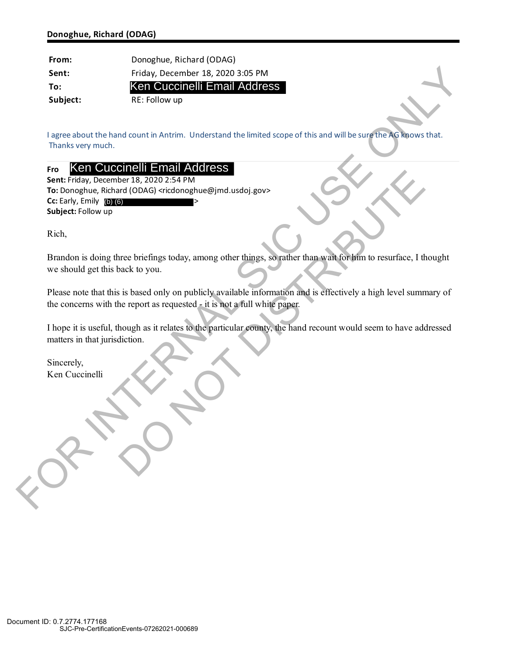| From:                           | Donoghue, Richard (ODAG)                                                                                                                                                                      |
|---------------------------------|-----------------------------------------------------------------------------------------------------------------------------------------------------------------------------------------------|
| Sent:                           | Friday, December 18, 2020 3:05 PM                                                                                                                                                             |
| To:                             | Ken Cuccinelli Email Address                                                                                                                                                                  |
| Subject:                        | RE: Follow up                                                                                                                                                                                 |
|                                 |                                                                                                                                                                                               |
| Thanks very much.               | I agree about the hand count in Antrim. Understand the limited scope of this and will be sure the AG knows that.                                                                              |
| Fro                             | Ken Cuccinelli Email Address                                                                                                                                                                  |
|                                 | Sent: Friday, December 18, 2020 2:54 PM<br>To: Donoghue, Richard (ODAG) <ricdonoghue@jmd.usdoj.gov></ricdonoghue@jmd.usdoj.gov>                                                               |
| Cc: Early, Emily $(b)$ $(6)$    |                                                                                                                                                                                               |
| Subject: Follow up              |                                                                                                                                                                                               |
|                                 |                                                                                                                                                                                               |
| Rich,                           |                                                                                                                                                                                               |
|                                 | Brandon is doing three briefings today, among other things, so rather than wait for him to resurface, I thought                                                                               |
| we should get this back to you. |                                                                                                                                                                                               |
|                                 |                                                                                                                                                                                               |
|                                 | Please note that this is based only on publicly available information and is effectively a high level summary of<br>the concerns with the report as requested - it is not a full white paper. |
|                                 |                                                                                                                                                                                               |
|                                 | I hope it is useful, though as it relates to the particular county, the hand recount would seem to have addressed                                                                             |
| matters in that jurisdiction.   |                                                                                                                                                                                               |
|                                 |                                                                                                                                                                                               |
| Sincerely,<br>Ken Cuccinelli    |                                                                                                                                                                                               |
|                                 |                                                                                                                                                                                               |
|                                 |                                                                                                                                                                                               |
|                                 |                                                                                                                                                                                               |
|                                 |                                                                                                                                                                                               |
|                                 |                                                                                                                                                                                               |
|                                 |                                                                                                                                                                                               |
|                                 |                                                                                                                                                                                               |
| EPT O                           |                                                                                                                                                                                               |
|                                 |                                                                                                                                                                                               |
|                                 |                                                                                                                                                                                               |

## **Fro**